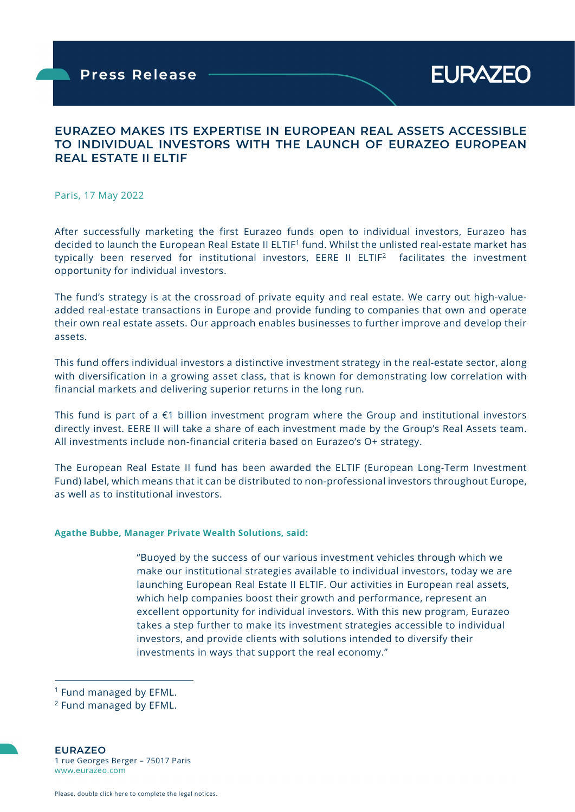## EURAZEO MAKES ITS EXPERTISE IN EUROPEAN REAL ASSETS ACCESSIBLE TO INDIVIDUAL INVESTORS WITH THE LAUNCH OF EURAZEO EUROPEAN REAL ESTATE II ELTIF

Paris, 17 May 2022

ł

After successfully marketing the first Eurazeo funds open to individual investors, Eurazeo has decided to launch the European Real Estate II ELTIF<sup>1</sup> fund. Whilst the unlisted real-estate market has typically been reserved for institutional investors, EERE II ELTIF<sup>2</sup> facilitates the investment opportunity for individual investors.

The fund's strategy is at the crossroad of private equity and real estate. We carry out high-valueadded real-estate transactions in Europe and provide funding to companies that own and operate their own real estate assets. Our approach enables businesses to further improve and develop their assets.

This fund offers individual investors a distinctive investment strategy in the real-estate sector, along with diversification in a growing asset class, that is known for demonstrating low correlation with financial markets and delivering superior returns in the long run.

This fund is part of a €1 billion investment program where the Group and institutional investors directly invest. EERE II will take a share of each investment made by the Group's Real Assets team. All investments include non-financial criteria based on Eurazeo's O+ strategy.

The European Real Estate II fund has been awarded the ELTIF (European Long-Term Investment Fund) label, which means that it can be distributed to non-professional investors throughout Europe, as well as to institutional investors.

#### Agathe Bubbe, Manager Private Wealth Solutions, said:

"Buoyed by the success of our various investment vehicles through which we make our institutional strategies available to individual investors, today we are launching European Real Estate II ELTIF. Our activities in European real assets, which help companies boost their growth and performance, represent an excellent opportunity for individual investors. With this new program, Eurazeo takes a step further to make its investment strategies accessible to individual investors, and provide clients with solutions intended to diversify their investments in ways that support the real economy."

EURAZEO 1 rue Georges Berger – 75017 Paris www.eurazeo.com

<sup>1</sup> Fund managed by EFML.

<sup>&</sup>lt;sup>2</sup> Fund managed by EFML.